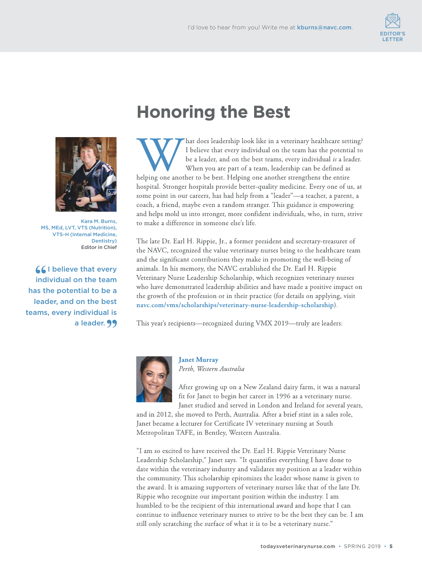



Kara M. Burns, MS, MEd, LVT, VTS (Nutrition), VTS-H (Internal Medicine, Dentistry) Editor in Chief

**(C)** believe that every individual on the team has the potential to be a leader, and on the best teams, every individual is a leader. 99

## **Honoring the Best**

W That does leadership look like in a veterinary healthcare set<br>I believe that every individual on the team has the potenti<br>be a leader, and on the best teams, every individual *is* a lea<br>When you are part of a team, leade hat does leadership look like in a veterinary healthcare setting? I believe that every individual on the team has the potential to be a leader, and on the best teams, every individual *is* a leader. When you are part of a team, leadership can be defined as hospital. Stronger hospitals provide better-quality medicine. Every one of us, at some point in our careers, has had help from a "leader"—a teacher, a parent, a coach, a friend, maybe even a random stranger. This guidance is empowering and helps mold us into stronger, more confident individuals, who, in turn, strive to make a difference in someone else's life.

The late Dr. Earl H. Rippie, Jr., a former president and secretary-treasurer of the NAVC, recognized the value veterinary nurses bring to the healthcare team and the significant contributions they make in promoting the well-being of animals. In his memory, the NAVC established the Dr. Earl H. Rippie Veterinary Nurse Leadership Scholarship, which recognizes veterinary nurses who have demonstrated leadership abilities and have made a positive impact on the growth of the profession or in their practice (for details on applying, visit **[navc.com/vmx/scholarships/veterinary-nurse-leadership-scholarship](https://navc.com/vmx/scholarships/veterinary-nurse-leadership-scholarship)**).

This year's recipients—recognized during VMX 2019—truly are leaders:



**Janet Murray** *Perth, Western Australia*

After growing up on a New Zealand dairy farm, it was a natural fit for Janet to begin her career in 1996 as a veterinary nurse. Janet studied and served in London and Ireland for several years,

and in 2012, she moved to Perth, Australia. After a brief stint in a sales role, Janet became a lecturer for Certificate IV veterinary nursing at South Metropolitan TAFE, in Bentley, Western Australia.

"I am so excited to have received the Dr. Earl H. Rippie Veterinary Nurse Leadership Scholarship," Janet says. "It quantifies everything I have done to date within the veterinary industry and validates my position as a leader within the community. This scholarship epitomizes the leader whose name is given to the award. It is amazing supporters of veterinary nurses like that of the late Dr. Rippie who recognize our important position within the industry. I am humbled to be the recipient of this international award and hope that I can continue to influence veterinary nurses to strive to be the best they can be. I am still only scratching the surface of what it is to be a veterinary nurse."